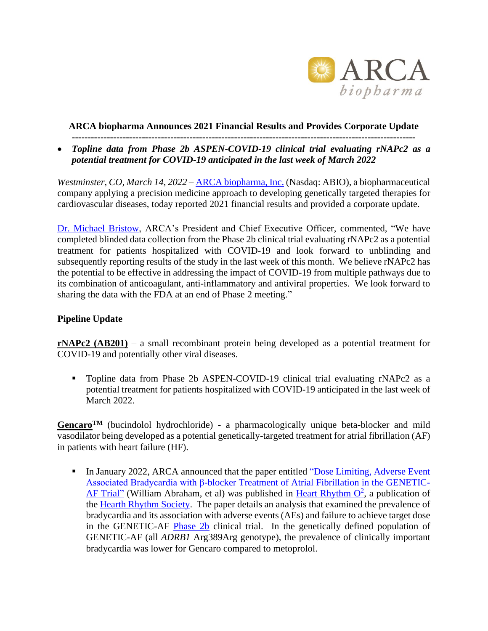

### **ARCA biopharma Announces 2021 Financial Results and Provides Corporate Update**

**------------------------------------------------------------------------------------------------------------**

• *Topline data from Phase 2b ASPEN-COVID-19 clinical trial evaluating rNAPc2 as a potential treatment for COVID-19 anticipated in the last week of March 2022*

*Westminster, CO, March 14, 2022* – [ARCA biopharma, Inc.](http://www.arcabio.com/) (Nasdaq: ABIO), a biopharmaceutical company applying a precision medicine approach to developing genetically targeted therapies for cardiovascular diseases, today reported 2021 financial results and provided a corporate update.

[Dr. Michael Bristow,](http://arcabio.com/people/michael-bristow/) ARCA's President and Chief Executive Officer, commented, "We have completed blinded data collection from the Phase 2b clinical trial evaluating rNAPc2 as a potential treatment for patients hospitalized with COVID-19 and look forward to unblinding and subsequently reporting results of the study in the last week of this month. We believe rNAPc2 has the potential to be effective in addressing the impact of COVID-19 from multiple pathways due to its combination of anticoagulant, anti-inflammatory and antiviral properties. We look forward to sharing the data with the FDA at an end of Phase 2 meeting."

# **Pipeline Update**

**rNAPc2 (AB201)** – a small recombinant protein being developed as a potential treatment for COVID-19 and potentially other viral diseases.

▪ Topline data from Phase 2b ASPEN-COVID-19 clinical trial evaluating rNAPc2 as a potential treatment for patients hospitalized with COVID-19 anticipated in the last week of March 2022.

**GencaroTM** (bucindolol hydrochloride) - a pharmacologically unique beta-blocker and mild vasodilator being developed as a potential genetically-targeted treatment for atrial fibrillation (AF) in patients with heart failure (HF).

**I.** In January 2022, ARCA announced that the paper entitled "Dose Limiting, Adverse Event [Associated Bradycardia with β-blocker Treatment of Atrial Fibrillation in the GENETIC-](https://www.heartrhythmopen.com/article/S2666-5018(21)00215-4/fulltext)[AF Trial"](https://www.heartrhythmopen.com/article/S2666-5018(21)00215-4/fulltext) (William Abraham, et al) was published in [Heart Rhythm O](https://www.heartrhythmopen.com/)<sup>2</sup>, a publication of the [Hearth Rhythm Society.](https://www.hrsonline.org/) The paper details an analysis that examined the prevalence of bradycardia and its association with adverse events (AEs) and failure to achieve target dose in the GENETIC-AF [Phase 2b](https://www.clinicaltrials.gov/ct2/show/NCT01970501) clinical trial. In the genetically defined population of GENETIC-AF (all *ADRB1* Arg389Arg genotype), the prevalence of clinically important bradycardia was lower for Gencaro compared to metoprolol.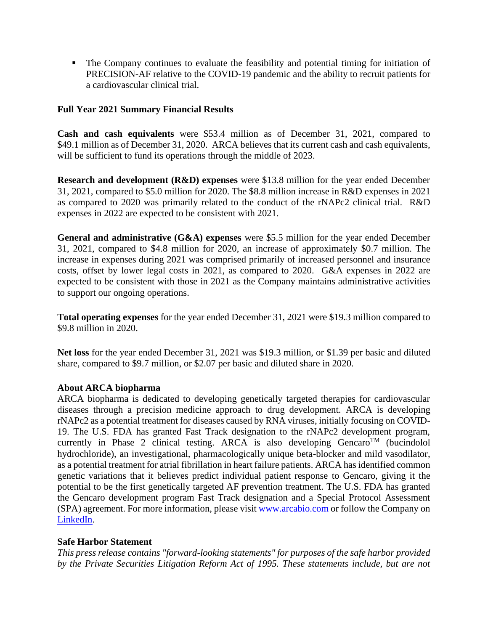▪ The Company continues to evaluate the feasibility and potential timing for initiation of PRECISION-AF relative to the COVID-19 pandemic and the ability to recruit patients for a cardiovascular clinical trial.

## **Full Year 2021 Summary Financial Results**

**Cash and cash equivalents** were \$53.4 million as of December 31, 2021, compared to \$49.1 million as of December 31, 2020. ARCA believes that its current cash and cash equivalents, will be sufficient to fund its operations through the middle of 2023.

**Research and development (R&D) expenses** were \$13.8 million for the year ended December 31, 2021, compared to \$5.0 million for 2020. The \$8.8 million increase in R&D expenses in 2021 as compared to 2020 was primarily related to the conduct of the rNAPc2 clinical trial. R&D expenses in 2022 are expected to be consistent with 2021.

**General and administrative (G&A) expenses** were \$5.5 million for the year ended December 31, 2021, compared to \$4.8 million for 2020, an increase of approximately \$0.7 million. The increase in expenses during 2021 was comprised primarily of increased personnel and insurance costs, offset by lower legal costs in 2021, as compared to 2020. G&A expenses in 2022 are expected to be consistent with those in 2021 as the Company maintains administrative activities to support our ongoing operations.

**Total operating expenses** for the year ended December 31, 2021 were \$19.3 million compared to \$9.8 million in 2020.

**Net loss** for the year ended December 31, 2021 was \$19.3 million, or \$1.39 per basic and diluted share, compared to \$9.7 million, or \$2.07 per basic and diluted share in 2020.

#### **About ARCA biopharma**

ARCA biopharma is dedicated to developing genetically targeted therapies for cardiovascular diseases through a precision medicine approach to drug development. ARCA is developing rNAPc2 as a potential treatment for diseases caused by RNA viruses, initially focusing on COVID-19. The U.S. FDA has granted Fast Track designation to the rNAPc2 development program, currently in Phase 2 clinical testing. ARCA is also developing  $Gencaro<sup>TM</sup>$  (bucindolol hydrochloride), an investigational, pharmacologically unique beta-blocker and mild vasodilator, as a potential treatment for atrial fibrillation in heart failure patients. ARCA has identified common genetic variations that it believes predict individual patient response to Gencaro, giving it the potential to be the first genetically targeted AF prevention treatment. The U.S. FDA has granted the Gencaro development program Fast Track designation and a Special Protocol Assessment (SPA) agreement. For more information, please visi[t www.arcabio.com](http://www.arcabio.com/) or follow the Company on [LinkedIn.](http://www.linkedin.com/company/arca-biopharma-inc./)

#### **Safe Harbor Statement**

*This press release contains "forward-looking statements" for purposes of the safe harbor provided by the Private Securities Litigation Reform Act of 1995. These statements include, but are not*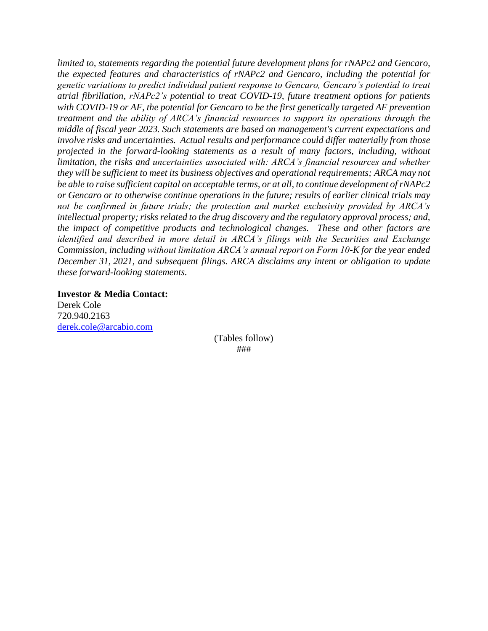*limited to, statements regarding the potential future development plans for rNAPc2 and Gencaro, the expected features and characteristics of rNAPc2 and Gencaro, including the potential for genetic variations to predict individual patient response to Gencaro, Gencaro's potential to treat atrial fibrillation, rNAPc2's potential to treat COVID-19, future treatment options for patients with COVID-19 or AF, the potential for Gencaro to be the first genetically targeted AF prevention treatment and the ability of ARCA's financial resources to support its operations through the middle of fiscal year 2023. Such statements are based on management's current expectations and involve risks and uncertainties. Actual results and performance could differ materially from those projected in the forward-looking statements as a result of many factors, including, without limitation, the risks and uncertainties associated with: ARCA's financial resources and whether they will be sufficient to meet its business objectives and operational requirements; ARCA may not be able to raise sufficient capital on acceptable terms, or at all, to continue development of rNAPc2 or Gencaro or to otherwise continue operations in the future; results of earlier clinical trials may not be confirmed in future trials; the protection and market exclusivity provided by ARCA's intellectual property; risks related to the drug discovery and the regulatory approval process; and, the impact of competitive products and technological changes. These and other factors are identified and described in more detail in ARCA's filings with the Securities and Exchange Commission, including without limitation ARCA's annual report on Form 10-K for the year ended December 31, 2021, and subsequent filings. ARCA disclaims any intent or obligation to update these forward-looking statements.*

**Investor & Media Contact:** Derek Cole 720.940.2163 [derek.cole@arcabio.com](mailto:derek.cole@arcabio.com)

> (Tables follow) ###